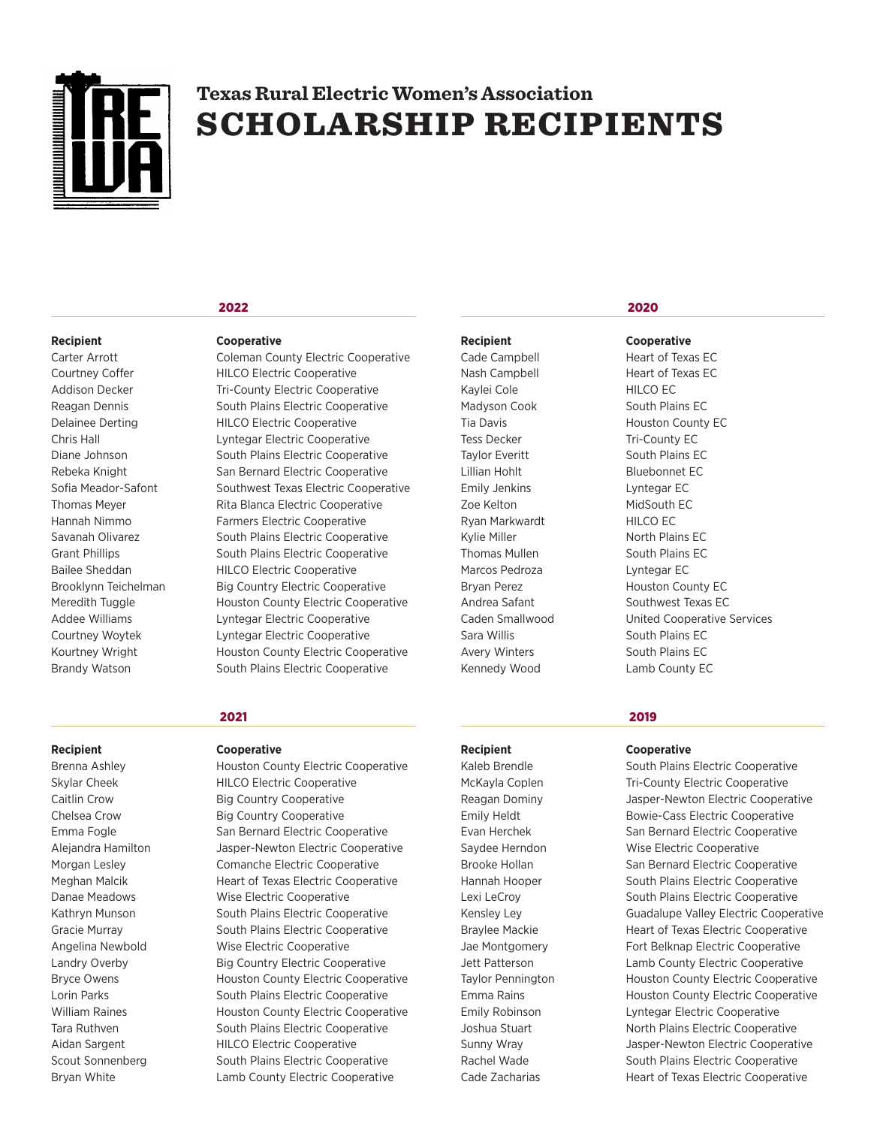

# **Texas Rural ElectricWomen's Association SCHOLARSHIP RECIPIENTS**

# **Recipient Cooperative**

**2022**

Carter Arrott Coleman County Electric Cooperative Courtney Coffer HILCO Electric Cooperative Addison Decker Tri-County Electric Cooperative Reagan Dennis South Plains Electric Cooperative Delainee Derting HILCO Electric Cooperative Chris Hall Lyntegar Electric Cooperative Diane Johnson South Plains Electric Cooperative Rebeka Knight San Bernard Electric Cooperative Sofia Meador-Safont Southwest Texas Electric Cooperative Thomas Meyer Rita Blanca Electric Cooperative Hannah Nimmo Farmers Electric Cooperative Savanah Olivarez South Plains Electric Cooperative Grant Phillips South Plains Electric Cooperative Bailee Sheddan HILCO Electric Cooperative Brooklynn Teichelman Big Country Electric Cooperative Meredith Tuggle **Houston County Electric Cooperative** Addee Williams Lyntegar Electric Cooperative Courtney Woytek Lyntegar Electric Cooperative Kourtney Wright **Houston County Electric Cooperative** Brandy Watson South Plains Electric Cooperative

# **2021**

# **Recipient Cooperative**

Brenna Ashley **Houston County Electric Cooperative** Skylar Cheek HILCO Electric Cooperative Caitlin Crow Big Country Cooperative Chelsea Crow Big Country Cooperative Emma Fogle San Bernard Electric Cooperative Alejandra Hamilton Jasper-Newton Electric Cooperative Morgan Lesley Comanche Electric Cooperative Meghan Malcik Heart of Texas Electric Cooperative Danae Meadows Wise Electric Cooperative Kathryn Munson South Plains Electric Cooperative Gracie Murray South Plains Electric Cooperative Angelina Newbold Wise Electric Cooperative Landry Overby Big Country Electric Cooperative Bryce Owens **Houston County Electric Cooperative** Lorin Parks South Plains Electric Cooperative William Raines **Houston County Electric Cooperative** Tara Ruthven South Plains Electric Cooperative Aidan Sargent **HILCO Electric Cooperative** Scout Sonnenberg South Plains Electric Cooperative Bryan White Lamb County Electric Cooperative

Cade Campbell **Heart of Texas EC** Nash Campbell Heart of Texas EC Kaylei Cole **HILCO EC** Madyson Cook South Plains EC Tess Decker Tri-County EC Taylor Everitt South Plains EC Lillian Hohlt Bluebonnet EC Emily Jenkins Lyntegar EC Zoe Kelton MidSouth EC Ryan Markwardt HILCO EC Kylie Miller North Plains EC Thomas Mullen South Plains EC Marcos Pedroza Lyntegar EC Sara Willis South Plains EC Avery Winters South Plains EC Kennedy Wood Lamb County EC

# **2020**

**Recipient Cooperative**

Tia Davis **Houston County EC** Bryan Perez **Houston County EC** Andrea Safant Southwest Texas EC Caden Smallwood United Cooperative Services

# **2019**

**Recipient Cooperative**

Kaleb Brendle South Plains Electric Cooperative McKayla Coplen Tri-County Electric Cooperative Reagan Dominy Jasper-Newton Electric Cooperative Emily Heldt Bowie-Cass Electric Cooperative Evan Herchek San Bernard Electric Cooperative Saydee Herndon Wise Electric Cooperative Brooke Hollan San Bernard Electric Cooperative Hannah Hooper South Plains Electric Cooperative Lexi LeCroy South Plains Electric Cooperative Kensley Ley Guadalupe Valley Electric Cooperative Braylee Mackie **Heart of Texas Electric Cooperative** Jae Montgomery Fort Belknap Electric Cooperative Jett Patterson Lamb County Electric Cooperative Taylor Pennington **Houston County Electric Cooperative** Emma Rains **Emma Rains** Houston County Electric Cooperative Emily Robinson Lyntegar Electric Cooperative Joshua Stuart North Plains Electric Cooperative Sunny Wray Jasper-Newton Electric Cooperative Rachel Wade South Plains Electric Cooperative Cade Zacharias **Heart of Texas Electric Cooperative**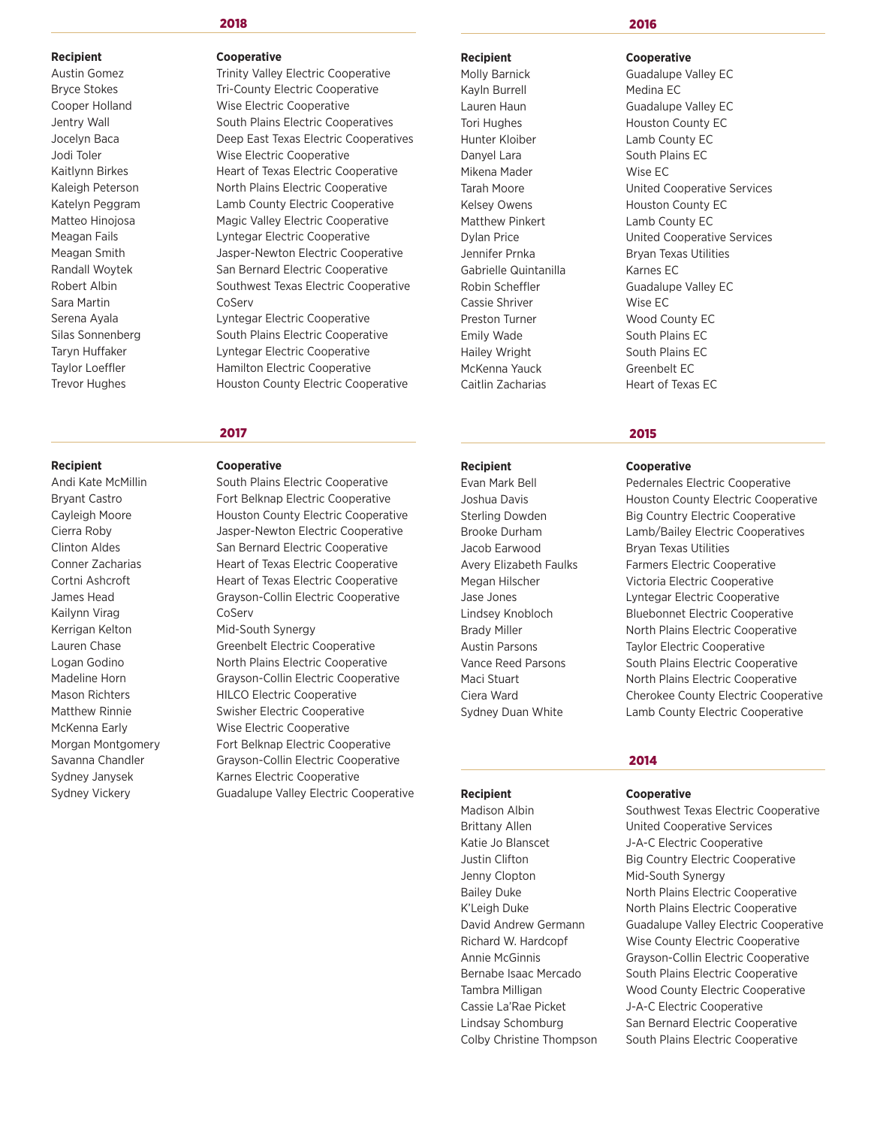Sara Martin CoServ

# **2018**

# **Recipient Cooperative**

Austin Gomez **Trinity Valley Electric Cooperative** Bryce Stokes Tri-County Electric Cooperative Cooper Holland Wise Electric Cooperative Jentry Wall **South Plains Electric Cooperatives** Jocelyn Baca Deep East Texas Electric Cooperatives Jodi Toler Wise Electric Cooperative Kaitlynn Birkes **Heart of Texas Electric Cooperative** Kaleigh Peterson North Plains Electric Cooperative Katelyn Peggram Lamb County Electric Cooperative Matteo Hinojosa Magic Valley Electric Cooperative Meagan Fails **Lyntegar Electric Cooperative** Meagan Smith Jasper-Newton Electric Cooperative Randall Woytek San Bernard Electric Cooperative Robert Albin Southwest Texas Electric Cooperative Serena Ayala **Lyntegar Electric Cooperative** 

Silas Sonnenberg South Plains Electric Cooperative Taryn Huffaker **Lyntegar Electric Cooperative** Taylor Loeffler **Hamilton Electric Cooperative** Trevor Hughes **Houston County Electric Cooperative** 

# **2017**

# **Recipient Cooperative**

Andi Kate McMillin South Plains Electric Cooperative Bryant Castro **Fort Belknap Electric Cooperative** Cayleigh Moore Houston County Electric Cooperative Cierra Roby Jasper-Newton Electric Cooperative Clinton Aldes San Bernard Electric Cooperative Conner Zacharias **Heart of Texas Electric Cooperative** Cortni Ashcroft Heart of Texas Electric Cooperative James Head Grayson-Collin Electric Cooperative Lauren Chase Greenbelt Electric Cooperative

Logan Godino North Plains Electric Cooperative Madeline Horn Grayson-Collin Electric Cooperative Mason Richters **HILCO Electric Cooperative** Matthew Rinnie Swisher Electric Cooperative McKenna Early Wise Electric Cooperative Morgan Montgomery Fort Belknap Electric Cooperative Savanna Chandler Grayson-Collin Electric Cooperative Sydney Janysek Karnes Electric Cooperative Sydney Vickery **Guadalupe Valley Electric Cooperative** 

Kayln Burrell Medina EC Hunter Kloiber Lamb County EC Danyel Lara South Plains EC Mikena Mader Wise EC Matthew Pinkert Lamb County EC Gabrielle Quintanilla Karnes EC Cassie Shriver Wise EC Preston Turner Wood County EC Emily Wade South Plains EC Hailey Wright South Plains EC McKenna Yauck Greenbelt EC

# **2016**

# **Recipient Cooperative**

Molly Barnick Guadalupe Valley EC Lauren Haun Guadalupe Valley EC Tori Hughes Houston County EC Tarah Moore United Cooperative Services Kelsey Owens **Houston County EC** Dylan Price United Cooperative Services Jennifer Prnka Bryan Texas Utilities Robin Scheffler Guadalupe Valley EC Caitlin Zacharias Heart of Texas EC

# **2015**

# **Recipient Cooperative**

Evan Mark Bell **Pedernales Electric Cooperative** Joshua Davis **Houston County Electric Cooperative** Sterling Dowden Big Country Electric Cooperative Brooke Durham Lamb/Bailey Electric Cooperatives Jacob Earwood Bryan Texas Utilities Avery Elizabeth Faulks Farmers Electric Cooperative Megan Hilscher Victoria Electric Cooperative Jase Jones Lyntegar Electric Cooperative Lindsey Knobloch Bluebonnet Electric Cooperative Brady Miller North Plains Electric Cooperative Austin Parsons Taylor Electric Cooperative Vance Reed Parsons South Plains Electric Cooperative Maci Stuart **North Plains Electric Cooperative** Ciera Ward Cherokee County Electric Cooperative Sydney Duan White **Lamb County Electric Cooperative** 

# **2014**

# **Recipient Cooperative**

Madison Albin Southwest Texas Electric Cooperative Brittany Allen **Inited Cooperative Services** Katie Jo Blanscet J-A-C Electric Cooperative Justin Clifton **Big Country Electric Cooperative** Jenny Clopton Mid-South Synergy Bailey Duke **North Plains Electric Cooperative** K'Leigh Duke North Plains Electric Cooperative David Andrew Germann Guadalupe Valley Electric Cooperative Richard W. Hardcopf Wise County Electric Cooperative Annie McGinnis Grayson-Collin Electric Cooperative Bernabe Isaac Mercado South Plains Electric Cooperative Tambra Milligan Wood County Electric Cooperative Cassie La'Rae Picket J-A-C Electric Cooperative Lindsay Schomburg San Bernard Electric Cooperative Colby Christine Thompson South Plains Electric Cooperative

# Kailynn Virag CoServ Kerrigan Kelton Mid-South Synergy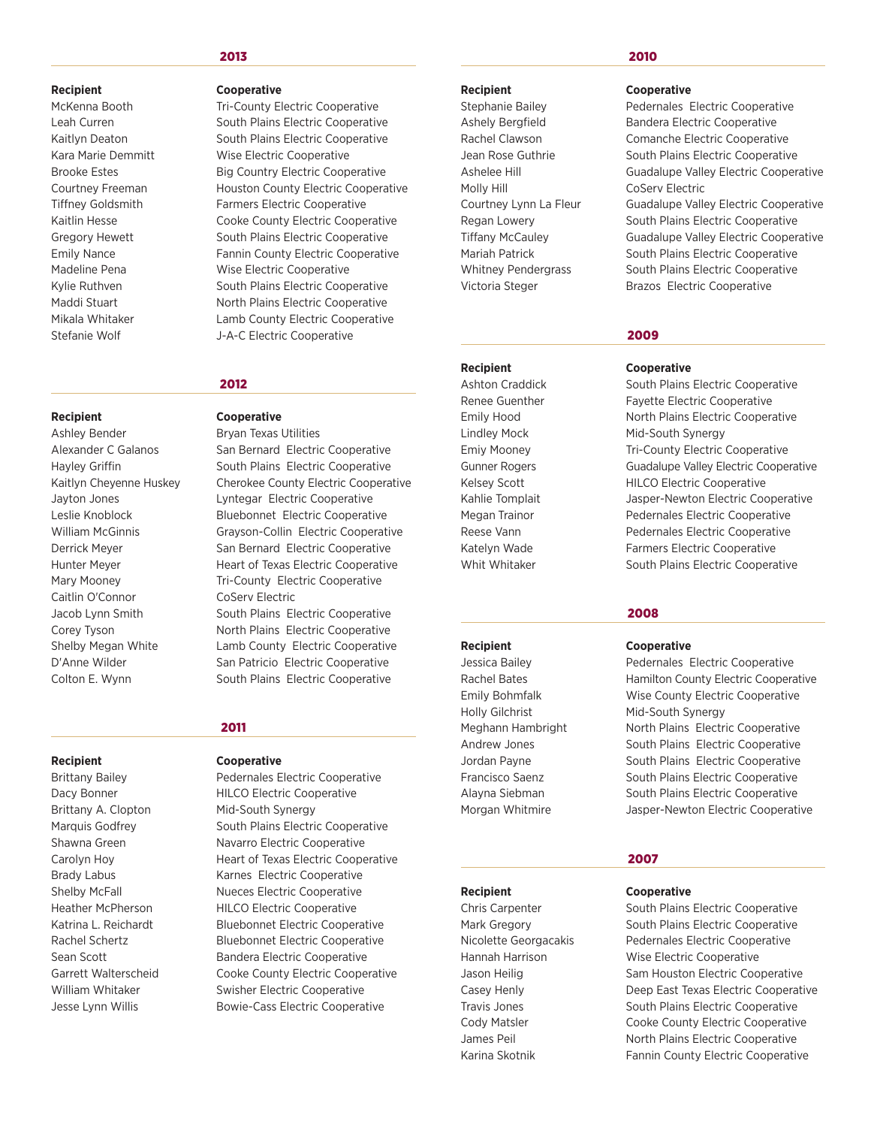# **2013**

Caitlin O'Connor CoServ Electric Colton E. Wynn South Plains Electric Cooperative

# **Recipient Cooperative**

Brittany A. Clopton Mid-South Synergy

## **Recipient Cooperative**

McKenna Booth Tri-County Electric Cooperative Leah Curren South Plains Electric Cooperative Kaitlyn Deaton South Plains Electric Cooperative Kara Marie Demmitt Wise Electric Cooperative Brooke Estes Big Country Electric Cooperative Courtney Freeman Houston County Electric Cooperative Tiffney Goldsmith Farmers Electric Cooperative Kaitlin Hesse **Cooke County Electric Cooperative** Gregory Hewett South Plains Electric Cooperative Emily Nance **Fannin County Electric Cooperative** Madeline Pena Wise Electric Cooperative Kylie Ruthven **South Plains Electric Cooperative** Maddi Stuart North Plains Electric Cooperative Mikala Whitaker Lamb County Electric Cooperative Stefanie Wolf J-A-C Electric Cooperative

# **2012**

# **Recipient Cooperative**

Ashley Bender Bryan Texas Utilities Alexander C Galanos San Bernard Electric Cooperative Hayley Griffin **South Plains Electric Cooperative** Kaitlyn Cheyenne Huskey Cherokee County Electric Cooperative Jayton Jones Lyntegar Electric Cooperative Leslie Knoblock Bluebonnet Electric Cooperative William McGinnis Grayson-Collin Electric Cooperative Derrick Meyer San Bernard Electric Cooperative Hunter Meyer **Heart of Texas Electric Cooperative** Mary Mooney **Tri-County Electric Cooperative** Jacob Lynn Smith South Plains Electric Cooperative Corey Tyson North Plains Electric Cooperative Shelby Megan White **Lamb County Electric Cooperative** D'Anne Wilder San Patricio Electric Cooperative

# **2011**

Brittany Bailey **Pedernales Electric Cooperative** Dacy Bonner HILCO Electric Cooperative Marquis Godfrey South Plains Electric Cooperative Shawna Green Navarro Electric Cooperative Carolyn Hoy **Heart of Texas Electric Cooperative** Brady Labus **Karnes Electric Cooperative** Shelby McFall **Nueces** Electric Cooperative Heather McPherson HILCO Electric Cooperative Katrina L. Reichardt Bluebonnet Electric Cooperative Rachel Schertz Bluebonnet Electric Cooperative Sean Scott Bandera Electric Cooperative Garrett Walterscheid Cooke County Electric Cooperative William Whitaker Swisher Electric Cooperative Jesse Lynn Willis Bowie-Cass Electric Cooperative

# **Recipient Cooperative**

Molly Hill CoServ Electric

Holly Gilchrist Mid-South Synergy

# **2010**

Stephanie Bailey **Pedernales Electric Cooperative** Ashely Bergfield Bandera Electric Cooperative Rachel Clawson Comanche Electric Cooperative Jean Rose Guthrie South Plains Electric Cooperative Ashelee Hill **All Ashelee Hill** Guadalupe Valley Electric Cooperative Courtney Lynn La Fleur Guadalupe Valley Electric Cooperative Regan Lowery South Plains Electric Cooperative Tiffany McCauley Guadalupe Valley Electric Cooperative Mariah Patrick **South Plains Electric Cooperative** Whitney Pendergrass South Plains Electric Cooperative Victoria Steger **Brazos** Electric Cooperative

# **2009**

# **Recipient Cooperative**

Ashton Craddick South Plains Electric Cooperative Renee Guenther Fayette Electric Cooperative Emily Hood North Plains Electric Cooperative Lindley Mock Mid-South Synergy Emiy Mooney **Tri-County Electric Cooperative** Gunner Rogers Guadalupe Valley Electric Cooperative Kelsey Scott **HILCO Electric Cooperative** Kahlie Tomplait Jasper-Newton Electric Cooperative Megan Trainor **Network** Pedernales Electric Cooperative Reese Vann **Pedernales Electric Cooperative** Katelyn Wade Farmers Electric Cooperative Whit Whitaker South Plains Electric Cooperative

# **2008**

# **Recipient Cooperative**

Jessica Bailey Pedernales Electric Cooperative Rachel Bates **Hamilton County Electric Cooperative** Emily Bohmfalk Wise County Electric Cooperative Meghann Hambright North Plains Electric Cooperative Andrew Jones **South Plains Electric Cooperative** Jordan Payne **South Plains Electric Cooperative** Francisco Saenz South Plains Electric Cooperative Alayna Siebman South Plains Electric Cooperative Morgan Whitmire Jasper-Newton Electric Cooperative

# **2007**

# **Recipient Cooperative**

Chris Carpenter South Plains Electric Cooperative Mark Gregory **South Plains Electric Cooperative** Nicolette Georgacakis Pedernales Electric Cooperative Hannah Harrison Wise Electric Cooperative Jason Heilig Sam Houston Electric Cooperative Casey Henly **East Texas Electric Cooperative** Travis Jones **South Plains Electric Cooperative** Cody Matsler Cooke County Electric Cooperative James Peil **North Plains Electric Cooperative** Karina Skotnik Fannin County Electric Cooperative